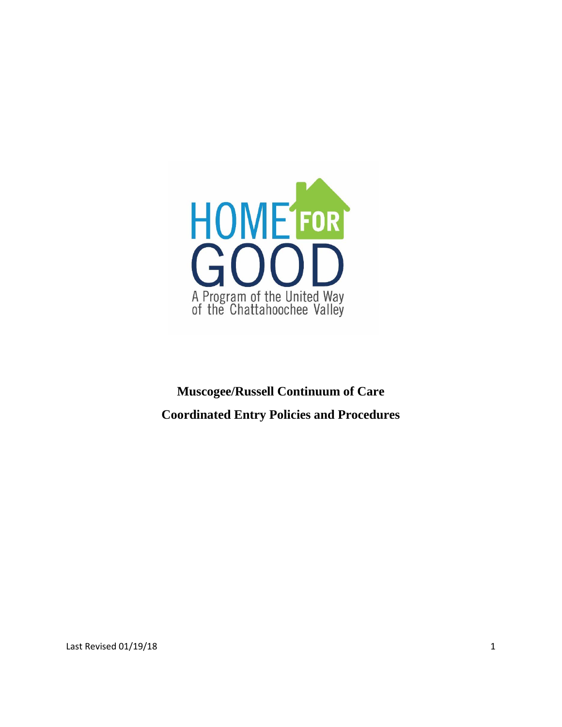

# **Muscogee/Russell Continuum of Care Coordinated Entry Policies and Procedures**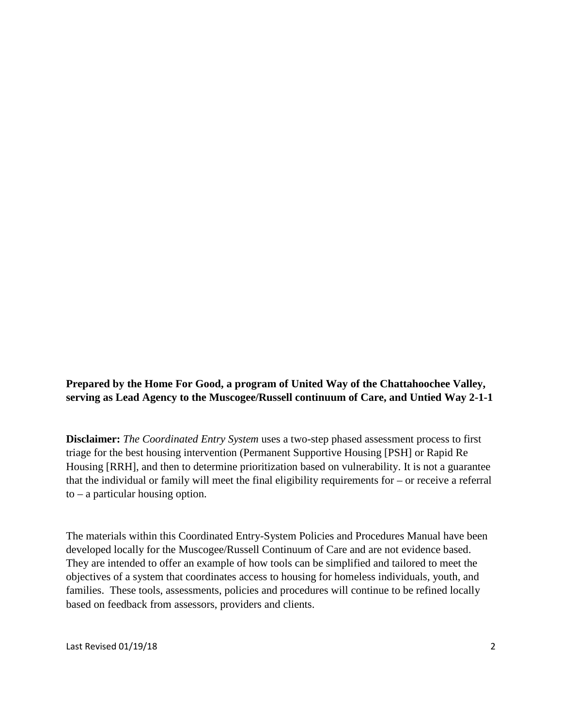## **Prepared by the Home For Good, a program of United Way of the Chattahoochee Valley, serving as Lead Agency to the Muscogee/Russell continuum of Care, and Untied Way 2-1-1**

**Disclaimer:** *The Coordinated Entry System* uses a two-step phased assessment process to first triage for the best housing intervention (Permanent Supportive Housing [PSH] or Rapid Re Housing [RRH], and then to determine prioritization based on vulnerability. It is not a guarantee that the individual or family will meet the final eligibility requirements for – or receive a referral to – a particular housing option.

The materials within this Coordinated Entry-System Policies and Procedures Manual have been developed locally for the Muscogee/Russell Continuum of Care and are not evidence based. They are intended to offer an example of how tools can be simplified and tailored to meet the objectives of a system that coordinates access to housing for homeless individuals, youth, and families. These tools, assessments, policies and procedures will continue to be refined locally based on feedback from assessors, providers and clients.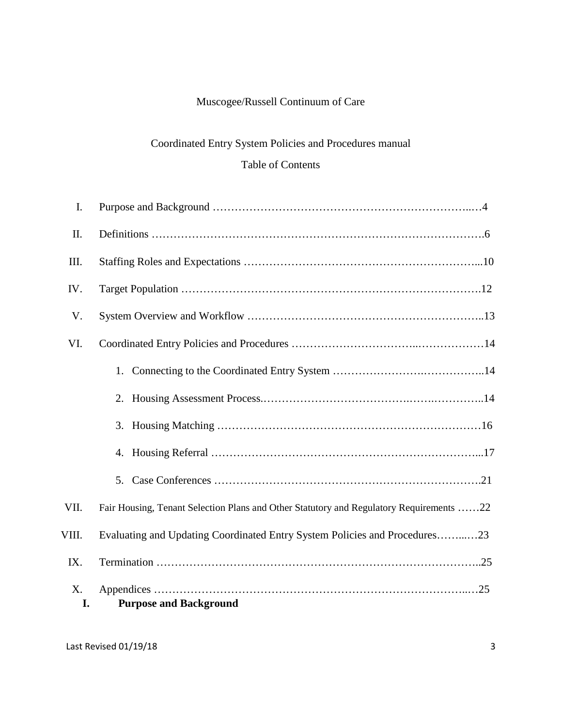## Muscogee/Russell Continuum of Care

## Coordinated Entry System Policies and Procedures manual Table of Contents

| X.<br>I. | <b>Purpose and Background</b>                                                           |
|----------|-----------------------------------------------------------------------------------------|
| IX.      |                                                                                         |
| VIII.    | Evaluating and Updating Coordinated Entry System Policies and Procedures23              |
| VII.     | Fair Housing, Tenant Selection Plans and Other Statutory and Regulatory Requirements 22 |
|          |                                                                                         |
|          |                                                                                         |
|          |                                                                                         |
|          |                                                                                         |
|          |                                                                                         |
| VI.      |                                                                                         |
| V.       |                                                                                         |
| IV.      |                                                                                         |
| III.     |                                                                                         |
| II.      |                                                                                         |
| I.       |                                                                                         |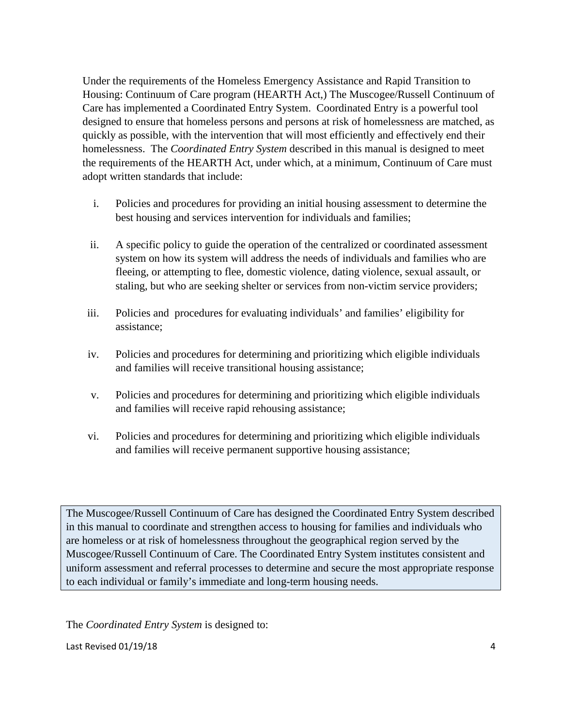Under the requirements of the Homeless Emergency Assistance and Rapid Transition to Housing: Continuum of Care program (HEARTH Act,) The Muscogee/Russell Continuum of Care has implemented a Coordinated Entry System. Coordinated Entry is a powerful tool designed to ensure that homeless persons and persons at risk of homelessness are matched, as quickly as possible, with the intervention that will most efficiently and effectively end their homelessness. The *Coordinated Entry System* described in this manual is designed to meet the requirements of the HEARTH Act, under which, at a minimum, Continuum of Care must adopt written standards that include:

- i. Policies and procedures for providing an initial housing assessment to determine the best housing and services intervention for individuals and families;
- ii. A specific policy to guide the operation of the centralized or coordinated assessment system on how its system will address the needs of individuals and families who are fleeing, or attempting to flee, domestic violence, dating violence, sexual assault, or staling, but who are seeking shelter or services from non-victim service providers;
- iii. Policies and procedures for evaluating individuals' and families' eligibility for assistance;
- iv. Policies and procedures for determining and prioritizing which eligible individuals and families will receive transitional housing assistance;
- v. Policies and procedures for determining and prioritizing which eligible individuals and families will receive rapid rehousing assistance;
- vi. Policies and procedures for determining and prioritizing which eligible individuals and families will receive permanent supportive housing assistance;

The Muscogee/Russell Continuum of Care has designed the Coordinated Entry System described in this manual to coordinate and strengthen access to housing for families and individuals who are homeless or at risk of homelessness throughout the geographical region served by the Muscogee/Russell Continuum of Care. The Coordinated Entry System institutes consistent and uniform assessment and referral processes to determine and secure the most appropriate response to each individual or family's immediate and long-term housing needs.

The *Coordinated Entry System* is designed to: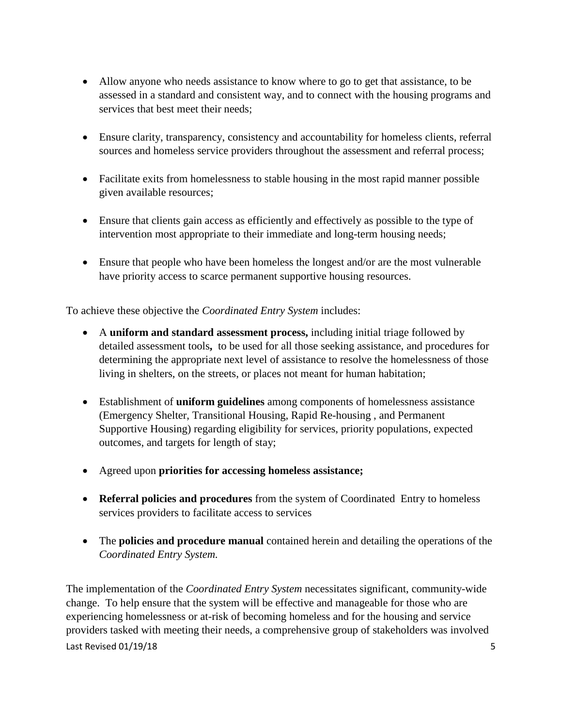- Allow anyone who needs assistance to know where to go to get that assistance, to be assessed in a standard and consistent way, and to connect with the housing programs and services that best meet their needs;
- Ensure clarity, transparency, consistency and accountability for homeless clients, referral sources and homeless service providers throughout the assessment and referral process;
- Facilitate exits from homelessness to stable housing in the most rapid manner possible given available resources;
- Ensure that clients gain access as efficiently and effectively as possible to the type of intervention most appropriate to their immediate and long-term housing needs;
- Ensure that people who have been homeless the longest and/or are the most vulnerable have priority access to scarce permanent supportive housing resources.

To achieve these objective the *Coordinated Entry System* includes:

- A **uniform and standard assessment process,** including initial triage followed by detailed assessment tools**,** to be used for all those seeking assistance, and procedures for determining the appropriate next level of assistance to resolve the homelessness of those living in shelters, on the streets, or places not meant for human habitation;
- Establishment of **uniform guidelines** among components of homelessness assistance (Emergency Shelter, Transitional Housing, Rapid Re-housing , and Permanent Supportive Housing) regarding eligibility for services, priority populations, expected outcomes, and targets for length of stay;
- Agreed upon **priorities for accessing homeless assistance;**
- **Referral policies and procedures** from the system of Coordinated Entry to homeless services providers to facilitate access to services
- The **policies and procedure manual** contained herein and detailing the operations of the *Coordinated Entry System.*

Last Revised 01/19/18 5 The implementation of the *Coordinated Entry System* necessitates significant, community-wide change. To help ensure that the system will be effective and manageable for those who are experiencing homelessness or at-risk of becoming homeless and for the housing and service providers tasked with meeting their needs, a comprehensive group of stakeholders was involved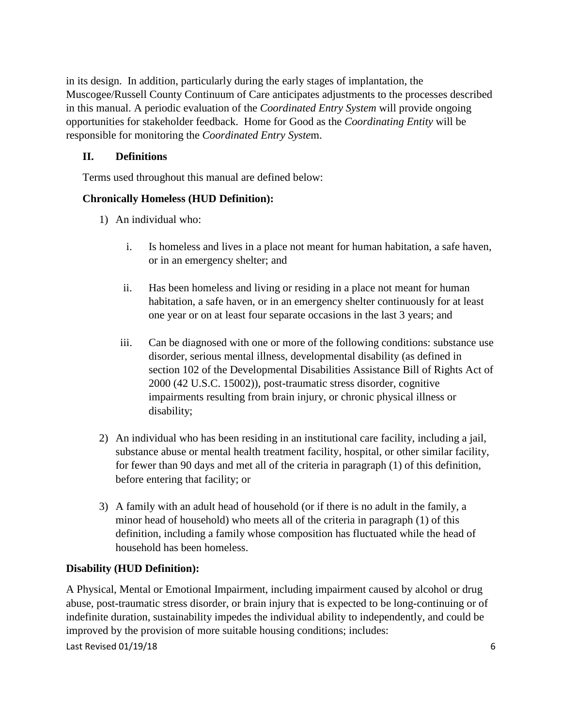in its design. In addition, particularly during the early stages of implantation, the Muscogee/Russell County Continuum of Care anticipates adjustments to the processes described in this manual. A periodic evaluation of the *Coordinated Entry System* will provide ongoing opportunities for stakeholder feedback. Home for Good as the *Coordinating Entity* will be responsible for monitoring the *Coordinated Entry Syste*m.

## **II. Definitions**

Terms used throughout this manual are defined below:

## **Chronically Homeless (HUD Definition):**

- 1) An individual who:
	- i. Is homeless and lives in a place not meant for human habitation, a safe haven, or in an emergency shelter; and
	- ii. Has been homeless and living or residing in a place not meant for human habitation, a safe haven, or in an emergency shelter continuously for at least one year or on at least four separate occasions in the last 3 years; and
	- iii. Can be diagnosed with one or more of the following conditions: substance use disorder, serious mental illness, developmental disability (as defined in section 102 of the Developmental Disabilities Assistance Bill of Rights Act of 2000 (42 U.S.C. 15002)), post-traumatic stress disorder, cognitive impairments resulting from brain injury, or chronic physical illness or disability;
- 2) An individual who has been residing in an institutional care facility, including a jail, substance abuse or mental health treatment facility, hospital, or other similar facility, for fewer than 90 days and met all of the criteria in paragraph (1) of this definition, before entering that facility; or
- 3) A family with an adult head of household (or if there is no adult in the family, a minor head of household) who meets all of the criteria in paragraph (1) of this definition, including a family whose composition has fluctuated while the head of household has been homeless.

## **Disability (HUD Definition):**

A Physical, Mental or Emotional Impairment, including impairment caused by alcohol or drug abuse, post-traumatic stress disorder, or brain injury that is expected to be long-continuing or of indefinite duration, sustainability impedes the individual ability to independently, and could be improved by the provision of more suitable housing conditions; includes: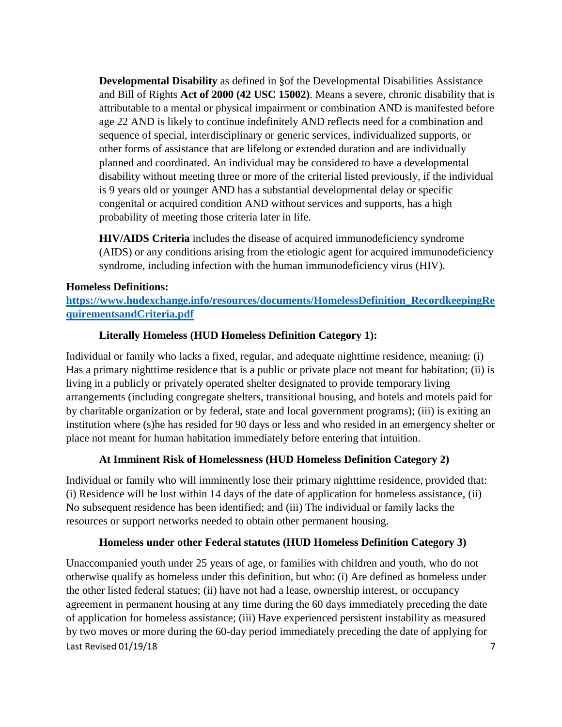**Developmental Disability** as defined in §of the Developmental Disabilities Assistance and Bill of Rights **Act of 2000 (42 USC 15002)**. Means a severe, chronic disability that is attributable to a mental or physical impairment or combination AND is manifested before age 22 AND is likely to continue indefinitely AND reflects need for a combination and sequence of special, interdisciplinary or generic services, individualized supports, or other forms of assistance that are lifelong or extended duration and are individually planned and coordinated. An individual may be considered to have a developmental disability without meeting three or more of the criterial listed previously, if the individual is 9 years old or younger AND has a substantial developmental delay or specific congenital or acquired condition AND without services and supports, has a high probability of meeting those criteria later in life.

**HIV/AIDS Criteria** includes the disease of acquired immunodeficiency syndrome (AIDS) or any conditions arising from the etiologic agent for acquired immunodeficiency syndrome, including infection with the human immunodeficiency virus (HIV).

## **Homeless Definitions:**

**[https://www.hudexchange.info/resources/documents/HomelessDefinition\\_RecordkeepingRe](https://www.hudexchange.info/resources/documents/HomelessDefinition_RecordkeepingRequirementsandCriteria.pdf) [quirementsandCriteria.pdf](https://www.hudexchange.info/resources/documents/HomelessDefinition_RecordkeepingRequirementsandCriteria.pdf)**

## **Literally Homeless (HUD Homeless Definition Category 1):**

Individual or family who lacks a fixed, regular, and adequate nighttime residence, meaning: (i) Has a primary nighttime residence that is a public or private place not meant for habitation; (ii) is living in a publicly or privately operated shelter designated to provide temporary living arrangements (including congregate shelters, transitional housing, and hotels and motels paid for by charitable organization or by federal, state and local government programs); (iii) is exiting an institution where (s)he has resided for 90 days or less and who resided in an emergency shelter or place not meant for human habitation immediately before entering that intuition.

## **At Imminent Risk of Homelessness (HUD Homeless Definition Category 2)**

Individual or family who will imminently lose their primary nighttime residence, provided that: (i) Residence will be lost within 14 days of the date of application for homeless assistance, (ii) No subsequent residence has been identified; and (iii) The individual or family lacks the resources or support networks needed to obtain other permanent housing.

## **Homeless under other Federal statutes (HUD Homeless Definition Category 3)**

Last Revised 01/19/18 7 Unaccompanied youth under 25 years of age, or families with children and youth, who do not otherwise qualify as homeless under this definition, but who: (i) Are defined as homeless under the other listed federal statues; (ii) have not had a lease, ownership interest, or occupancy agreement in permanent housing at any time during the 60 days immediately preceding the date of application for homeless assistance; (iii) Have experienced persistent instability as measured by two moves or more during the 60-day period immediately preceding the date of applying for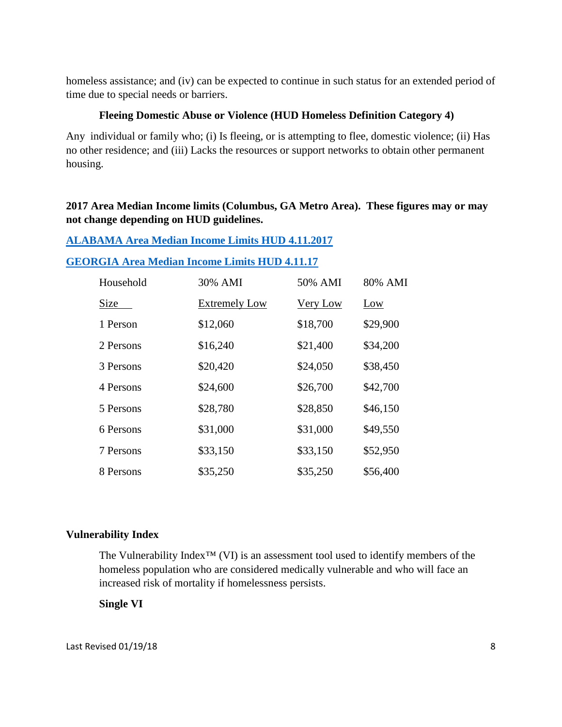homeless assistance; and (iv) can be expected to continue in such status for an extended period of time due to special needs or barriers.

#### **Fleeing Domestic Abuse or Violence (HUD Homeless Definition Category 4)**

Any individual or family who; (i) Is fleeing, or is attempting to flee, domestic violence; (ii) Has no other residence; and (iii) Lacks the resources or support networks to obtain other permanent housing.

## **2017 Area Median Income limits (Columbus, GA Metro Area). These figures may or may not change depending on HUD guidelines.**

|  |  |  |  | <b>ALABAMA Area Median Income Limits HUD 4.11.2017</b> |
|--|--|--|--|--------------------------------------------------------|
|--|--|--|--|--------------------------------------------------------|

## **[GEORGIA Area Median Income Limits HUD 4.11.17](https://www.hudexchange.info/resource/reportmanagement/published/HOME_IncomeLmts_State_GA_2017.pdf)**

| Household | 30% AMI              | 50% AMI         | 80% AMI  |
|-----------|----------------------|-----------------|----------|
| Size      | <b>Extremely Low</b> | <b>Very Low</b> | Low      |
| 1 Person  | \$12,060             | \$18,700        | \$29,900 |
| 2 Persons | \$16,240             | \$21,400        | \$34,200 |
| 3 Persons | \$20,420             | \$24,050        | \$38,450 |
| 4 Persons | \$24,600             | \$26,700        | \$42,700 |
| 5 Persons | \$28,780             | \$28,850        | \$46,150 |
| 6 Persons | \$31,000             | \$31,000        | \$49,550 |
| 7 Persons | \$33,150             | \$33,150        | \$52,950 |
| 8 Persons | \$35,250             | \$35,250        | \$56,400 |

## **Vulnerability Index**

The Vulnerability Index™ (VI) is an assessment tool used to identify members of the homeless population who are considered medically vulnerable and who will face an increased risk of mortality if homelessness persists.

**Single VI**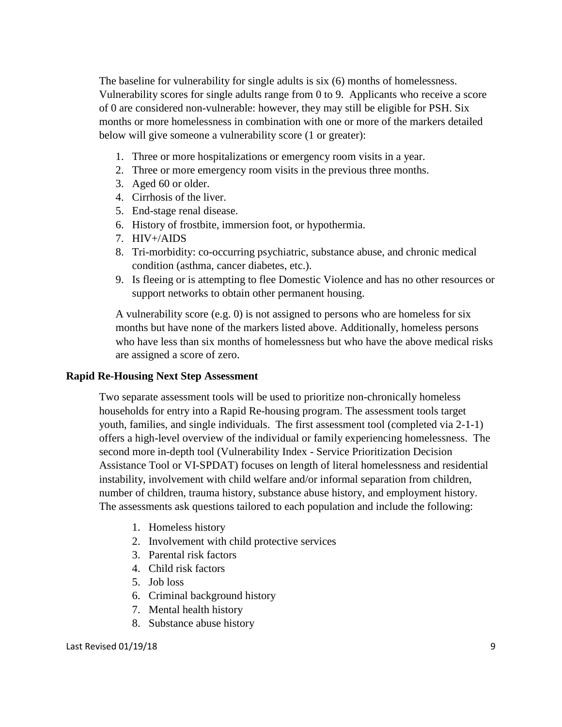The baseline for vulnerability for single adults is six (6) months of homelessness. Vulnerability scores for single adults range from 0 to 9. Applicants who receive a score of 0 are considered non-vulnerable: however, they may still be eligible for PSH. Six months or more homelessness in combination with one or more of the markers detailed below will give someone a vulnerability score (1 or greater):

- 1. Three or more hospitalizations or emergency room visits in a year.
- 2. Three or more emergency room visits in the previous three months.
- 3. Aged 60 or older.
- 4. Cirrhosis of the liver.
- 5. End-stage renal disease.
- 6. History of frostbite, immersion foot, or hypothermia.
- 7. HIV+/AIDS
- 8. Tri-morbidity: co-occurring psychiatric, substance abuse, and chronic medical condition (asthma, cancer diabetes, etc.).
- 9. Is fleeing or is attempting to flee Domestic Violence and has no other resources or support networks to obtain other permanent housing.

A vulnerability score (e.g. 0) is not assigned to persons who are homeless for six months but have none of the markers listed above. Additionally, homeless persons who have less than six months of homelessness but who have the above medical risks are assigned a score of zero.

## **Rapid Re-Housing Next Step Assessment**

Two separate assessment tools will be used to prioritize non-chronically homeless households for entry into a Rapid Re-housing program. The assessment tools target youth, families, and single individuals. The first assessment tool (completed via 2-1-1) offers a high-level overview of the individual or family experiencing homelessness. The second more in-depth tool (Vulnerability Index - Service Prioritization Decision Assistance Tool or VI-SPDAT) focuses on length of literal homelessness and residential instability, involvement with child welfare and/or informal separation from children, number of children, trauma history, substance abuse history, and employment history. The assessments ask questions tailored to each population and include the following:

- 1. Homeless history
- 2. Involvement with child protective services
- 3. Parental risk factors
- 4. Child risk factors
- 5. Job loss
- 6. Criminal background history
- 7. Mental health history
- 8. Substance abuse history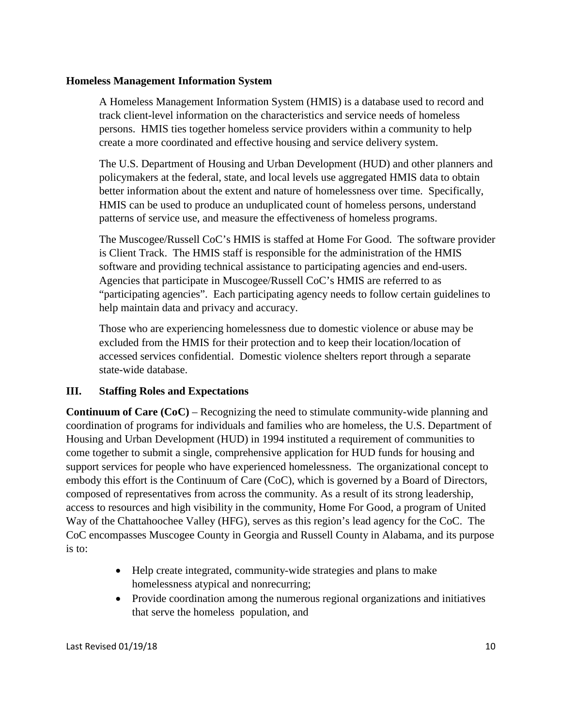#### **Homeless Management Information System**

A Homeless Management Information System (HMIS) is a database used to record and track client-level information on the characteristics and service needs of homeless persons. HMIS ties together homeless service providers within a community to help create a more coordinated and effective housing and service delivery system.

The U.S. Department of Housing and Urban Development (HUD) and other planners and policymakers at the federal, state, and local levels use aggregated HMIS data to obtain better information about the extent and nature of homelessness over time. Specifically, HMIS can be used to produce an unduplicated count of homeless persons, understand patterns of service use, and measure the effectiveness of homeless programs.

The Muscogee/Russell CoC's HMIS is staffed at Home For Good. The software provider is Client Track. The HMIS staff is responsible for the administration of the HMIS software and providing technical assistance to participating agencies and end-users. Agencies that participate in Muscogee/Russell CoC's HMIS are referred to as "participating agencies". Each participating agency needs to follow certain guidelines to help maintain data and privacy and accuracy.

Those who are experiencing homelessness due to domestic violence or abuse may be excluded from the HMIS for their protection and to keep their location/location of accessed services confidential. Domestic violence shelters report through a separate state-wide database.

## **III. Staffing Roles and Expectations**

**Continuum of Care (CoC)** – Recognizing the need to stimulate community-wide planning and coordination of programs for individuals and families who are homeless, the U.S. Department of Housing and Urban Development (HUD) in 1994 instituted a requirement of communities to come together to submit a single, comprehensive application for HUD funds for housing and support services for people who have experienced homelessness. The organizational concept to embody this effort is the Continuum of Care (CoC), which is governed by a Board of Directors, composed of representatives from across the community. As a result of its strong leadership, access to resources and high visibility in the community, Home For Good, a program of United Way of the Chattahoochee Valley (HFG), serves as this region's lead agency for the CoC. The CoC encompasses Muscogee County in Georgia and Russell County in Alabama, and its purpose is to:

- Help create integrated, community-wide strategies and plans to make homelessness atypical and nonrecurring;
- Provide coordination among the numerous regional organizations and initiatives that serve the homeless population, and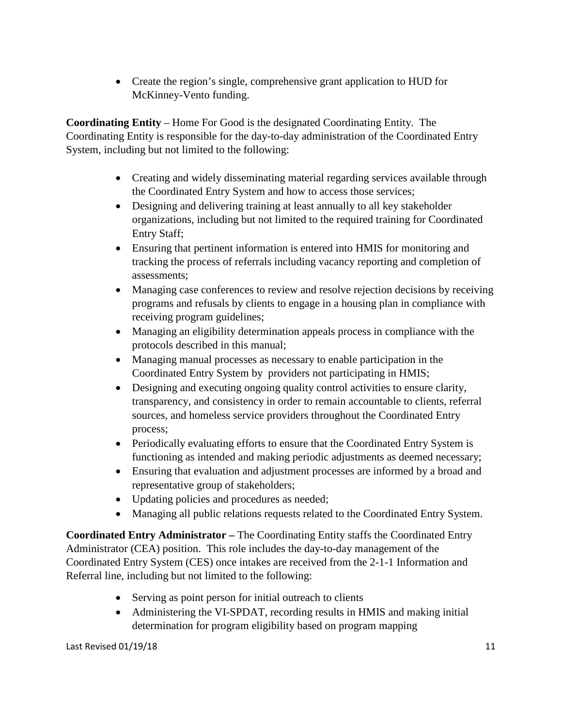• Create the region's single, comprehensive grant application to HUD for McKinney-Vento funding.

**Coordinating Entity** – Home For Good is the designated Coordinating Entity. The Coordinating Entity is responsible for the day-to-day administration of the Coordinated Entry System, including but not limited to the following:

- Creating and widely disseminating material regarding services available through the Coordinated Entry System and how to access those services;
- Designing and delivering training at least annually to all key stakeholder organizations, including but not limited to the required training for Coordinated Entry Staff;
- Ensuring that pertinent information is entered into HMIS for monitoring and tracking the process of referrals including vacancy reporting and completion of assessments;
- Managing case conferences to review and resolve rejection decisions by receiving programs and refusals by clients to engage in a housing plan in compliance with receiving program guidelines;
- Managing an eligibility determination appeals process in compliance with the protocols described in this manual;
- Managing manual processes as necessary to enable participation in the Coordinated Entry System by providers not participating in HMIS;
- Designing and executing ongoing quality control activities to ensure clarity, transparency, and consistency in order to remain accountable to clients, referral sources, and homeless service providers throughout the Coordinated Entry process;
- Periodically evaluating efforts to ensure that the Coordinated Entry System is functioning as intended and making periodic adjustments as deemed necessary;
- Ensuring that evaluation and adjustment processes are informed by a broad and representative group of stakeholders;
- Updating policies and procedures as needed;
- Managing all public relations requests related to the Coordinated Entry System.

**Coordinated Entry Administrator –** The Coordinating Entity staffs the Coordinated Entry Administrator (CEA) position. This role includes the day-to-day management of the Coordinated Entry System (CES) once intakes are received from the 2-1-1 Information and Referral line, including but not limited to the following:

- Serving as point person for initial outreach to clients
- Administering the VI-SPDAT, recording results in HMIS and making initial determination for program eligibility based on program mapping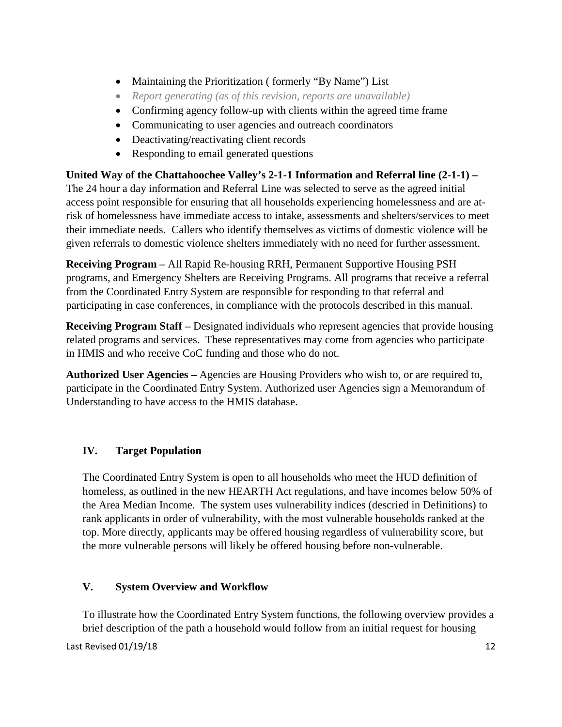- Maintaining the Prioritization (formerly "By Name") List
- *Report generating (as of this revision, reports are unavailable)*
- Confirming agency follow-up with clients within the agreed time frame
- Communicating to user agencies and outreach coordinators
- Deactivating/reactivating client records
- Responding to email generated questions

## **United Way of the Chattahoochee Valley's 2-1-1 Information and Referral line (2-1-1) –**

The 24 hour a day information and Referral Line was selected to serve as the agreed initial access point responsible for ensuring that all households experiencing homelessness and are atrisk of homelessness have immediate access to intake, assessments and shelters/services to meet their immediate needs. Callers who identify themselves as victims of domestic violence will be given referrals to domestic violence shelters immediately with no need for further assessment.

**Receiving Program –** All Rapid Re-housing RRH, Permanent Supportive Housing PSH programs, and Emergency Shelters are Receiving Programs. All programs that receive a referral from the Coordinated Entry System are responsible for responding to that referral and participating in case conferences, in compliance with the protocols described in this manual.

**Receiving Program Staff** – Designated individuals who represent agencies that provide housing related programs and services. These representatives may come from agencies who participate in HMIS and who receive CoC funding and those who do not.

**Authorized User Agencies –** Agencies are Housing Providers who wish to, or are required to, participate in the Coordinated Entry System. Authorized user Agencies sign a Memorandum of Understanding to have access to the HMIS database.

## **IV. Target Population**

The Coordinated Entry System is open to all households who meet the HUD definition of homeless, as outlined in the new HEARTH Act regulations, and have incomes below 50% of the Area Median Income. The system uses vulnerability indices (descried in Definitions) to rank applicants in order of vulnerability, with the most vulnerable households ranked at the top. More directly, applicants may be offered housing regardless of vulnerability score, but the more vulnerable persons will likely be offered housing before non-vulnerable.

## **V. System Overview and Workflow**

To illustrate how the Coordinated Entry System functions, the following overview provides a brief description of the path a household would follow from an initial request for housing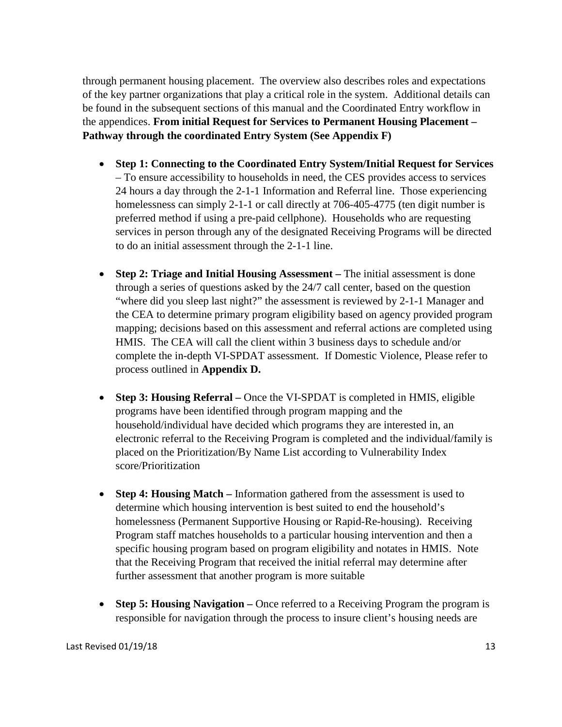through permanent housing placement. The overview also describes roles and expectations of the key partner organizations that play a critical role in the system. Additional details can be found in the subsequent sections of this manual and the Coordinated Entry workflow in the appendices. **From initial Request for Services to Permanent Housing Placement – Pathway through the coordinated Entry System (See Appendix F)**

- **Step 1: Connecting to the Coordinated Entry System/Initial Request for Services**  – To ensure accessibility to households in need, the CES provides access to services 24 hours a day through the 2-1-1 Information and Referral line. Those experiencing homelessness can simply 2-1-1 or call directly at 706-405-4775 (ten digit number is preferred method if using a pre-paid cellphone). Households who are requesting services in person through any of the designated Receiving Programs will be directed to do an initial assessment through the 2-1-1 line.
- **Step 2: Triage and Initial Housing Assessment** The initial assessment is done through a series of questions asked by the 24/7 call center, based on the question "where did you sleep last night?" the assessment is reviewed by 2-1-1 Manager and the CEA to determine primary program eligibility based on agency provided program mapping; decisions based on this assessment and referral actions are completed using HMIS. The CEA will call the client within 3 business days to schedule and/or complete the in-depth VI-SPDAT assessment. If Domestic Violence, Please refer to process outlined in **Appendix D.**
- **Step 3: Housing Referral –** Once the VI-SPDAT is completed in HMIS, eligible programs have been identified through program mapping and the household/individual have decided which programs they are interested in, an electronic referral to the Receiving Program is completed and the individual/family is placed on the Prioritization/By Name List according to Vulnerability Index score/Prioritization
- **Step 4: Housing Match** Information gathered from the assessment is used to determine which housing intervention is best suited to end the household's homelessness (Permanent Supportive Housing or Rapid-Re-housing). Receiving Program staff matches households to a particular housing intervention and then a specific housing program based on program eligibility and notates in HMIS. Note that the Receiving Program that received the initial referral may determine after further assessment that another program is more suitable
- **Step 5: Housing Navigation –** Once referred to a Receiving Program the program is responsible for navigation through the process to insure client's housing needs are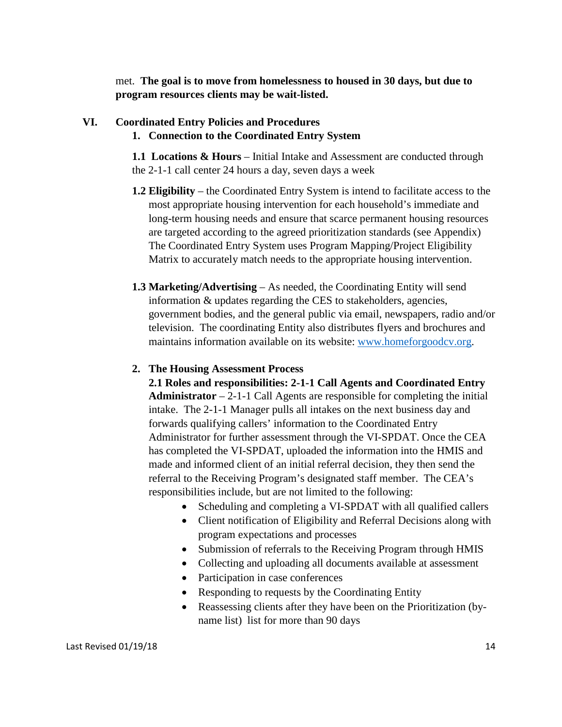met. **The goal is to move from homelessness to housed in 30 days, but due to program resources clients may be wait-listed.**

#### **VI. Coordinated Entry Policies and Procedures**

#### **1. Connection to the Coordinated Entry System**

**1.1 Locations & Hours** – Initial Intake and Assessment are conducted through the 2-1-1 call center 24 hours a day, seven days a week

- **1.2 Eligibility** the Coordinated Entry System is intend to facilitate access to the most appropriate housing intervention for each household's immediate and long-term housing needs and ensure that scarce permanent housing resources are targeted according to the agreed prioritization standards (see Appendix) The Coordinated Entry System uses Program Mapping/Project Eligibility Matrix to accurately match needs to the appropriate housing intervention.
- **1.3 Marketing/Advertising** As needed, the Coordinating Entity will send information & updates regarding the CES to stakeholders, agencies, government bodies, and the general public via email, newspapers, radio and/or television. The coordinating Entity also distributes flyers and brochures and maintains information available on its website: [www.homeforgoodcv.org.](http://www.homeforgoodcv.org/)

#### **2. The Housing Assessment Process**

**2.1 Roles and responsibilities: 2-1-1 Call Agents and Coordinated Entry Administrator** – 2-1-1 Call Agents are responsible for completing the initial intake. The 2-1-1 Manager pulls all intakes on the next business day and forwards qualifying callers' information to the Coordinated Entry Administrator for further assessment through the VI-SPDAT. Once the CEA has completed the VI-SPDAT, uploaded the information into the HMIS and made and informed client of an initial referral decision, they then send the referral to the Receiving Program's designated staff member. The CEA's responsibilities include, but are not limited to the following:

- Scheduling and completing a VI-SPDAT with all qualified callers
- Client notification of Eligibility and Referral Decisions along with program expectations and processes
- Submission of referrals to the Receiving Program through HMIS
- Collecting and uploading all documents available at assessment
- Participation in case conferences
- Responding to requests by the Coordinating Entity
- Reassessing clients after they have been on the Prioritization (byname list) list for more than 90 days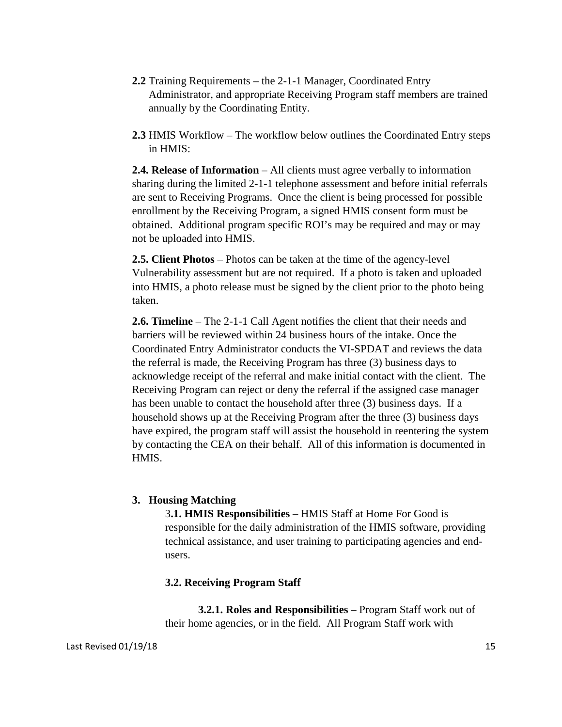- **2.2** Training Requirements the 2-1-1 Manager, Coordinated Entry Administrator, and appropriate Receiving Program staff members are trained annually by the Coordinating Entity.
- **2.3** HMIS Workflow The workflow below outlines the Coordinated Entry steps in HMIS:

**2.4. Release of Information** – All clients must agree verbally to information sharing during the limited 2-1-1 telephone assessment and before initial referrals are sent to Receiving Programs. Once the client is being processed for possible enrollment by the Receiving Program, a signed HMIS consent form must be obtained. Additional program specific ROI's may be required and may or may not be uploaded into HMIS.

**2.5. Client Photos** – Photos can be taken at the time of the agency-level Vulnerability assessment but are not required. If a photo is taken and uploaded into HMIS, a photo release must be signed by the client prior to the photo being taken.

**2.6. Timeline** – The 2-1-1 Call Agent notifies the client that their needs and barriers will be reviewed within 24 business hours of the intake. Once the Coordinated Entry Administrator conducts the VI-SPDAT and reviews the data the referral is made, the Receiving Program has three (3) business days to acknowledge receipt of the referral and make initial contact with the client. The Receiving Program can reject or deny the referral if the assigned case manager has been unable to contact the household after three (3) business days. If a household shows up at the Receiving Program after the three (3) business days have expired, the program staff will assist the household in reentering the system by contacting the CEA on their behalf. All of this information is documented in HMIS.

#### **3. Housing Matching**

3**.1. HMIS Responsibilities** – HMIS Staff at Home For Good is responsible for the daily administration of the HMIS software, providing technical assistance, and user training to participating agencies and endusers.

#### **3.2. Receiving Program Staff**

**3.2.1. Roles and Responsibilities** – Program Staff work out of their home agencies, or in the field. All Program Staff work with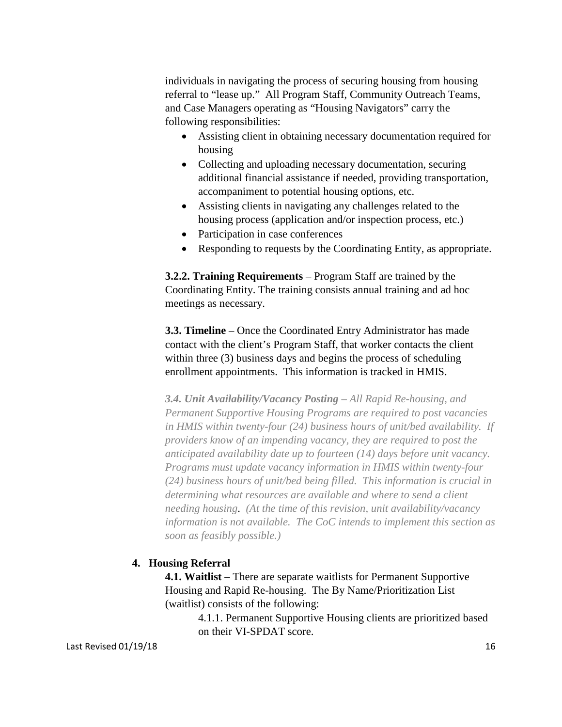individuals in navigating the process of securing housing from housing referral to "lease up." All Program Staff, Community Outreach Teams, and Case Managers operating as "Housing Navigators" carry the following responsibilities:

- Assisting client in obtaining necessary documentation required for housing
- Collecting and uploading necessary documentation, securing additional financial assistance if needed, providing transportation, accompaniment to potential housing options, etc.
- Assisting clients in navigating any challenges related to the housing process (application and/or inspection process, etc.)
- Participation in case conferences
- Responding to requests by the Coordinating Entity, as appropriate.

**3.2.2. Training Requirements** – Program Staff are trained by the Coordinating Entity. The training consists annual training and ad hoc meetings as necessary.

**3.3. Timeline** – Once the Coordinated Entry Administrator has made contact with the client's Program Staff, that worker contacts the client within three (3) business days and begins the process of scheduling enrollment appointments. This information is tracked in HMIS.

*3.4. Unit Availability/Vacancy Posting – All Rapid Re-housing, and Permanent Supportive Housing Programs are required to post vacancies in HMIS within twenty-four (24) business hours of unit/bed availability. If providers know of an impending vacancy, they are required to post the anticipated availability date up to fourteen (14) days before unit vacancy. Programs must update vacancy information in HMIS within twenty-four (24) business hours of unit/bed being filled. This information is crucial in determining what resources are available and where to send a client needing housing*. *(At the time of this revision, unit availability/vacancy information is not available. The CoC intends to implement this section as soon as feasibly possible.)*

## **4. Housing Referral**

**4.1. Waitlist** – There are separate waitlists for Permanent Supportive Housing and Rapid Re-housing. The By Name/Prioritization List (waitlist) consists of the following:

> 4.1.1. Permanent Supportive Housing clients are prioritized based on their VI-SPDAT score.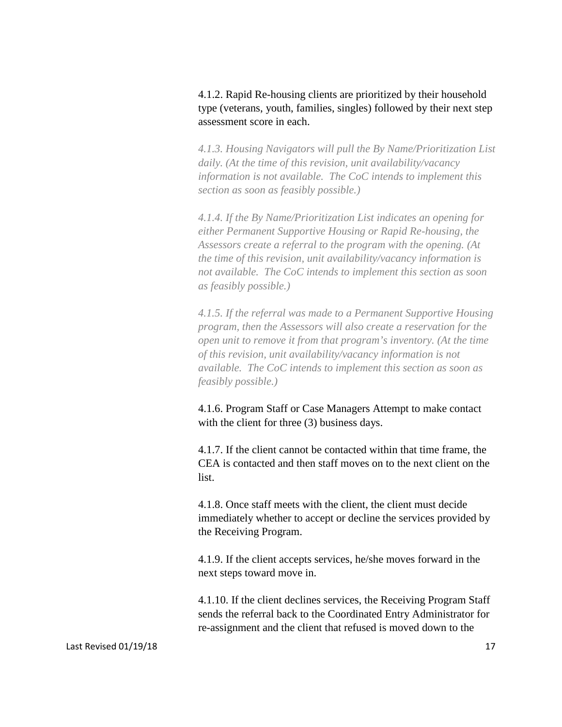## 4.1.2. Rapid Re-housing clients are prioritized by their household type (veterans, youth, families, singles) followed by their next step assessment score in each.

*4.1.3. Housing Navigators will pull the By Name/Prioritization List daily. (At the time of this revision, unit availability/vacancy information is not available. The CoC intends to implement this section as soon as feasibly possible.)*

*4.1.4. If the By Name/Prioritization List indicates an opening for either Permanent Supportive Housing or Rapid Re-housing, the Assessors create a referral to the program with the opening. (At the time of this revision, unit availability/vacancy information is not available. The CoC intends to implement this section as soon as feasibly possible.)*

*4.1.5. If the referral was made to a Permanent Supportive Housing program, then the Assessors will also create a reservation for the open unit to remove it from that program's inventory. (At the time of this revision, unit availability/vacancy information is not available. The CoC intends to implement this section as soon as feasibly possible.)*

4.1.6. Program Staff or Case Managers Attempt to make contact with the client for three (3) business days.

4.1.7. If the client cannot be contacted within that time frame, the CEA is contacted and then staff moves on to the next client on the list.

4.1.8. Once staff meets with the client, the client must decide immediately whether to accept or decline the services provided by the Receiving Program.

4.1.9. If the client accepts services, he/she moves forward in the next steps toward move in.

4.1.10. If the client declines services, the Receiving Program Staff sends the referral back to the Coordinated Entry Administrator for re-assignment and the client that refused is moved down to the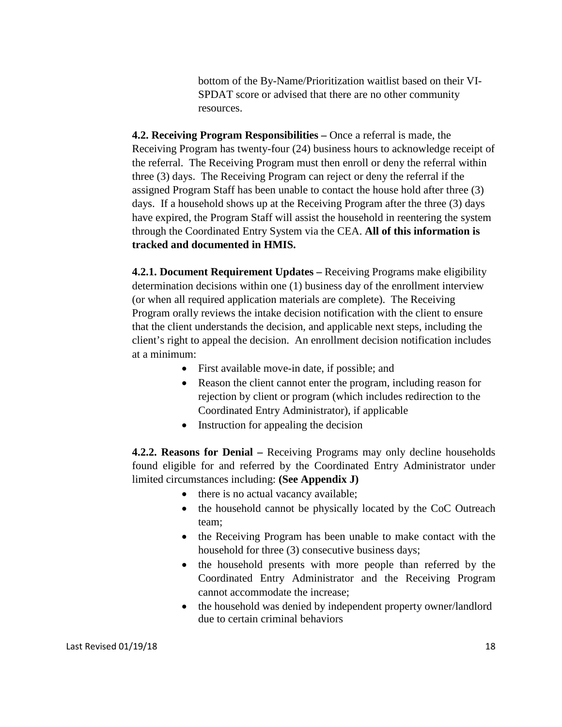bottom of the By-Name/Prioritization waitlist based on their VI-SPDAT score or advised that there are no other community resources.

**4.2. Receiving Program Responsibilities –** Once a referral is made, the Receiving Program has twenty-four (24) business hours to acknowledge receipt of the referral. The Receiving Program must then enroll or deny the referral within three (3) days. The Receiving Program can reject or deny the referral if the assigned Program Staff has been unable to contact the house hold after three (3) days. If a household shows up at the Receiving Program after the three (3) days have expired, the Program Staff will assist the household in reentering the system through the Coordinated Entry System via the CEA. **All of this information is tracked and documented in HMIS.**

**4.2.1. Document Requirement Updates –** Receiving Programs make eligibility determination decisions within one (1) business day of the enrollment interview (or when all required application materials are complete). The Receiving Program orally reviews the intake decision notification with the client to ensure that the client understands the decision, and applicable next steps, including the client's right to appeal the decision. An enrollment decision notification includes at a minimum:

- First available move-in date, if possible; and
- Reason the client cannot enter the program, including reason for rejection by client or program (which includes redirection to the Coordinated Entry Administrator), if applicable
- Instruction for appealing the decision

**4.2.2. Reasons for Denial –** Receiving Programs may only decline households found eligible for and referred by the Coordinated Entry Administrator under limited circumstances including: **(See Appendix J)**

- there is no actual vacancy available;
- the household cannot be physically located by the CoC Outreach team;
- the Receiving Program has been unable to make contact with the household for three (3) consecutive business days;
- the household presents with more people than referred by the Coordinated Entry Administrator and the Receiving Program cannot accommodate the increase;
- the household was denied by independent property owner/landlord due to certain criminal behaviors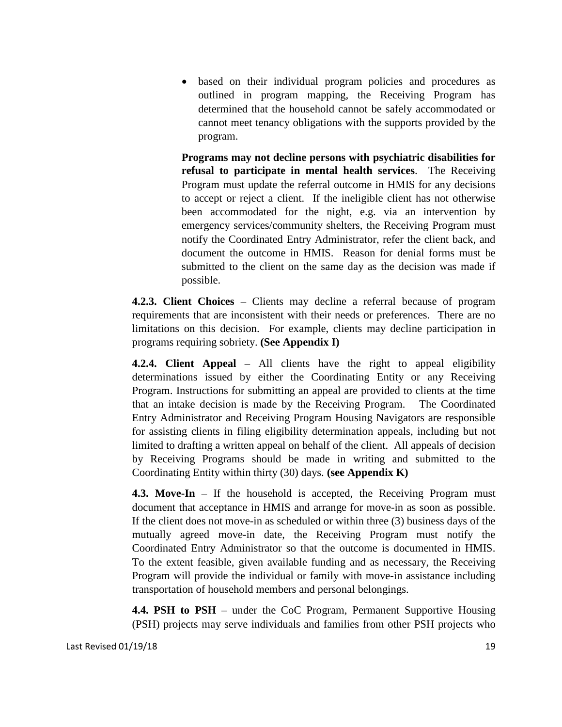• based on their individual program policies and procedures as outlined in program mapping, the Receiving Program has determined that the household cannot be safely accommodated or cannot meet tenancy obligations with the supports provided by the program.

**Programs may not decline persons with psychiatric disabilities for refusal to participate in mental health services**. The Receiving Program must update the referral outcome in HMIS for any decisions to accept or reject a client. If the ineligible client has not otherwise been accommodated for the night, e.g. via an intervention by emergency services/community shelters, the Receiving Program must notify the Coordinated Entry Administrator, refer the client back, and document the outcome in HMIS. Reason for denial forms must be submitted to the client on the same day as the decision was made if possible.

**4.2.3. Client Choices** – Clients may decline a referral because of program requirements that are inconsistent with their needs or preferences. There are no limitations on this decision. For example, clients may decline participation in programs requiring sobriety. **(See Appendix I)**

**4.2.4. Client Appeal** – All clients have the right to appeal eligibility determinations issued by either the Coordinating Entity or any Receiving Program. Instructions for submitting an appeal are provided to clients at the time that an intake decision is made by the Receiving Program. The Coordinated Entry Administrator and Receiving Program Housing Navigators are responsible for assisting clients in filing eligibility determination appeals, including but not limited to drafting a written appeal on behalf of the client. All appeals of decision by Receiving Programs should be made in writing and submitted to the Coordinating Entity within thirty (30) days. **(see Appendix K)**

**4.3. Move-In** – If the household is accepted, the Receiving Program must document that acceptance in HMIS and arrange for move-in as soon as possible. If the client does not move-in as scheduled or within three (3) business days of the mutually agreed move-in date, the Receiving Program must notify the Coordinated Entry Administrator so that the outcome is documented in HMIS. To the extent feasible, given available funding and as necessary, the Receiving Program will provide the individual or family with move-in assistance including transportation of household members and personal belongings.

**4.4. PSH to PSH** – under the CoC Program, Permanent Supportive Housing (PSH) projects may serve individuals and families from other PSH projects who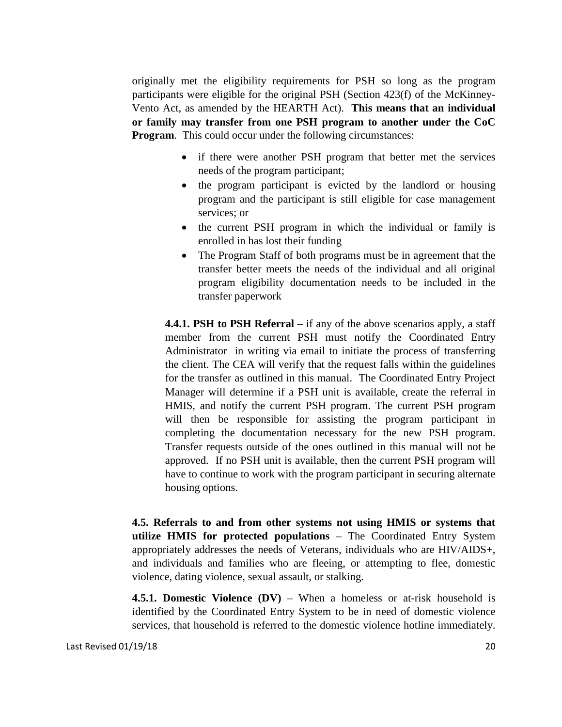originally met the eligibility requirements for PSH so long as the program participants were eligible for the original PSH (Section 423(f) of the McKinney-Vento Act, as amended by the HEARTH Act). **This means that an individual or family may transfer from one PSH program to another under the CoC Program.** This could occur under the following circumstances:

- if there were another PSH program that better met the services needs of the program participant;
- the program participant is evicted by the landlord or housing program and the participant is still eligible for case management services; or
- the current PSH program in which the individual or family is enrolled in has lost their funding
- The Program Staff of both programs must be in agreement that the transfer better meets the needs of the individual and all original program eligibility documentation needs to be included in the transfer paperwork

**4.4.1. PSH to PSH Referral** – if any of the above scenarios apply, a staff member from the current PSH must notify the Coordinated Entry Administrator in writing via email to initiate the process of transferring the client. The CEA will verify that the request falls within the guidelines for the transfer as outlined in this manual. The Coordinated Entry Project Manager will determine if a PSH unit is available, create the referral in HMIS, and notify the current PSH program. The current PSH program will then be responsible for assisting the program participant in completing the documentation necessary for the new PSH program. Transfer requests outside of the ones outlined in this manual will not be approved. If no PSH unit is available, then the current PSH program will have to continue to work with the program participant in securing alternate housing options.

**4.5. Referrals to and from other systems not using HMIS or systems that utilize HMIS for protected populations** – The Coordinated Entry System appropriately addresses the needs of Veterans, individuals who are HIV/AIDS+, and individuals and families who are fleeing, or attempting to flee, domestic violence, dating violence, sexual assault, or stalking.

**4.5.1. Domestic Violence (DV)** – When a homeless or at-risk household is identified by the Coordinated Entry System to be in need of domestic violence services, that household is referred to the domestic violence hotline immediately.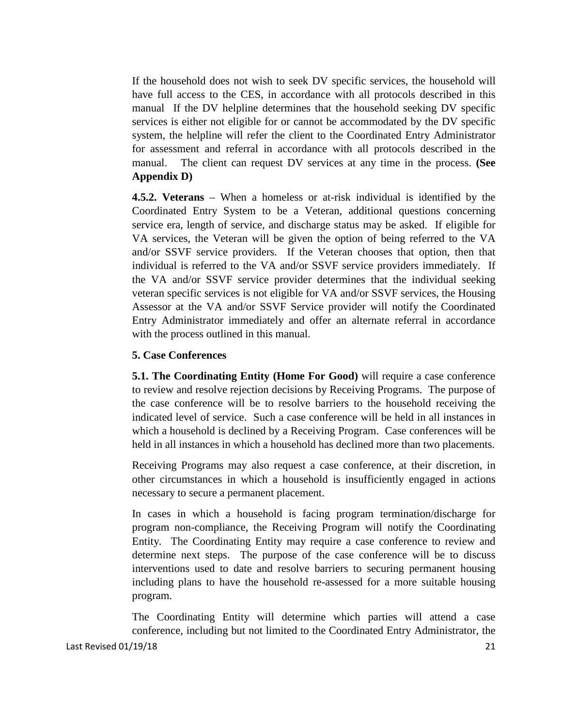If the household does not wish to seek DV specific services, the household will have full access to the CES, in accordance with all protocols described in this manual If the DV helpline determines that the household seeking DV specific services is either not eligible for or cannot be accommodated by the DV specific system, the helpline will refer the client to the Coordinated Entry Administrator for assessment and referral in accordance with all protocols described in the manual. The client can request DV services at any time in the process. **(See Appendix D)**

**4.5.2. Veterans** – When a homeless or at-risk individual is identified by the Coordinated Entry System to be a Veteran, additional questions concerning service era, length of service, and discharge status may be asked. If eligible for VA services, the Veteran will be given the option of being referred to the VA and/or SSVF service providers. If the Veteran chooses that option, then that individual is referred to the VA and/or SSVF service providers immediately. If the VA and/or SSVF service provider determines that the individual seeking veteran specific services is not eligible for VA and/or SSVF services, the Housing Assessor at the VA and/or SSVF Service provider will notify the Coordinated Entry Administrator immediately and offer an alternate referral in accordance with the process outlined in this manual.

#### **5. Case Conferences**

**5.1. The Coordinating Entity (Home For Good)** will require a case conference to review and resolve rejection decisions by Receiving Programs. The purpose of the case conference will be to resolve barriers to the household receiving the indicated level of service. Such a case conference will be held in all instances in which a household is declined by a Receiving Program. Case conferences will be held in all instances in which a household has declined more than two placements.

Receiving Programs may also request a case conference, at their discretion, in other circumstances in which a household is insufficiently engaged in actions necessary to secure a permanent placement.

In cases in which a household is facing program termination/discharge for program non-compliance, the Receiving Program will notify the Coordinating Entity. The Coordinating Entity may require a case conference to review and determine next steps. The purpose of the case conference will be to discuss interventions used to date and resolve barriers to securing permanent housing including plans to have the household re-assessed for a more suitable housing program.

The Coordinating Entity will determine which parties will attend a case conference, including but not limited to the Coordinated Entry Administrator, the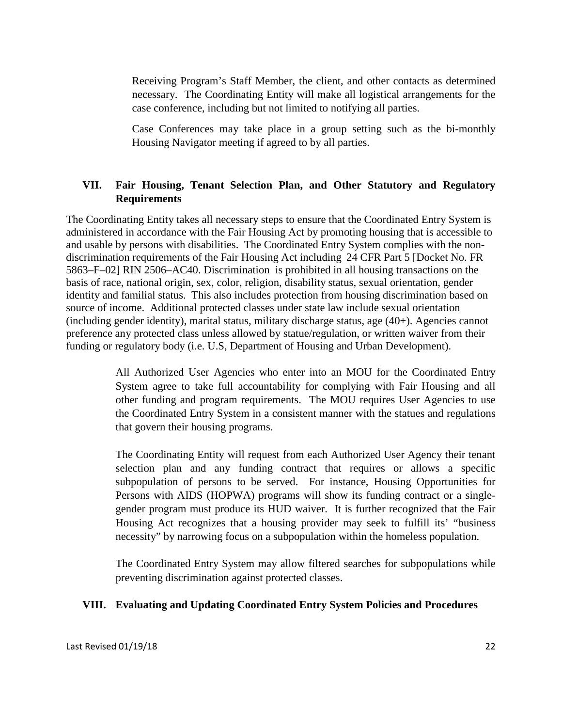Receiving Program's Staff Member, the client, and other contacts as determined necessary. The Coordinating Entity will make all logistical arrangements for the case conference, including but not limited to notifying all parties.

Case Conferences may take place in a group setting such as the bi-monthly Housing Navigator meeting if agreed to by all parties.

## **VII. Fair Housing, Tenant Selection Plan, and Other Statutory and Regulatory Requirements**

The Coordinating Entity takes all necessary steps to ensure that the Coordinated Entry System is administered in accordance with the Fair Housing Act by promoting housing that is accessible to and usable by persons with disabilities. The Coordinated Entry System complies with the nondiscrimination requirements of the Fair Housing Act including 24 CFR Part 5 [Docket No. FR 5863–F–02] RIN 2506–AC40. Discrimination is prohibited in all housing transactions on the basis of race, national origin, sex, color, religion, disability status, sexual orientation, gender identity and familial status. This also includes protection from housing discrimination based on source of income. Additional protected classes under state law include sexual orientation (including gender identity), marital status, military discharge status, age (40+). Agencies cannot preference any protected class unless allowed by statue/regulation, or written waiver from their funding or regulatory body (i.e. U.S, Department of Housing and Urban Development).

> All Authorized User Agencies who enter into an MOU for the Coordinated Entry System agree to take full accountability for complying with Fair Housing and all other funding and program requirements. The MOU requires User Agencies to use the Coordinated Entry System in a consistent manner with the statues and regulations that govern their housing programs.

> The Coordinating Entity will request from each Authorized User Agency their tenant selection plan and any funding contract that requires or allows a specific subpopulation of persons to be served. For instance, Housing Opportunities for Persons with AIDS (HOPWA) programs will show its funding contract or a singlegender program must produce its HUD waiver. It is further recognized that the Fair Housing Act recognizes that a housing provider may seek to fulfill its' "business necessity" by narrowing focus on a subpopulation within the homeless population.

> The Coordinated Entry System may allow filtered searches for subpopulations while preventing discrimination against protected classes.

## **VIII. Evaluating and Updating Coordinated Entry System Policies and Procedures**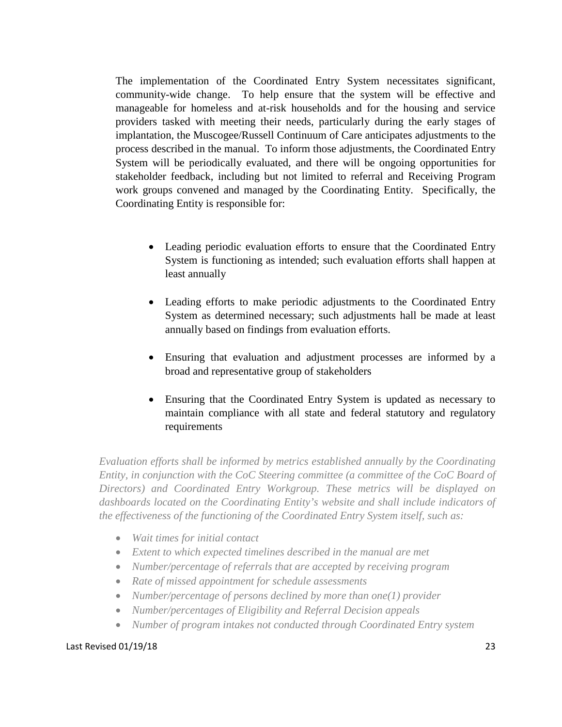The implementation of the Coordinated Entry System necessitates significant, community-wide change. To help ensure that the system will be effective and manageable for homeless and at-risk households and for the housing and service providers tasked with meeting their needs, particularly during the early stages of implantation, the Muscogee/Russell Continuum of Care anticipates adjustments to the process described in the manual. To inform those adjustments, the Coordinated Entry System will be periodically evaluated, and there will be ongoing opportunities for stakeholder feedback, including but not limited to referral and Receiving Program work groups convened and managed by the Coordinating Entity. Specifically, the Coordinating Entity is responsible for:

- Leading periodic evaluation efforts to ensure that the Coordinated Entry System is functioning as intended; such evaluation efforts shall happen at least annually
- Leading efforts to make periodic adjustments to the Coordinated Entry System as determined necessary; such adjustments hall be made at least annually based on findings from evaluation efforts.
- Ensuring that evaluation and adjustment processes are informed by a broad and representative group of stakeholders
- Ensuring that the Coordinated Entry System is updated as necessary to maintain compliance with all state and federal statutory and regulatory requirements

*Evaluation efforts shall be informed by metrics established annually by the Coordinating Entity, in conjunction with the CoC Steering committee (a committee of the CoC Board of Directors) and Coordinated Entry Workgroup. These metrics will be displayed on dashboards located on the Coordinating Entity's website and shall include indicators of the effectiveness of the functioning of the Coordinated Entry System itself, such as:*

- *Wait times for initial contact*
- *Extent to which expected timelines described in the manual are met*
- *Number/percentage of referrals that are accepted by receiving program*
- *Rate of missed appointment for schedule assessments*
- *Number/percentage of persons declined by more than one(1) provider*
- *Number/percentages of Eligibility and Referral Decision appeals*
- *Number of program intakes not conducted through Coordinated Entry system*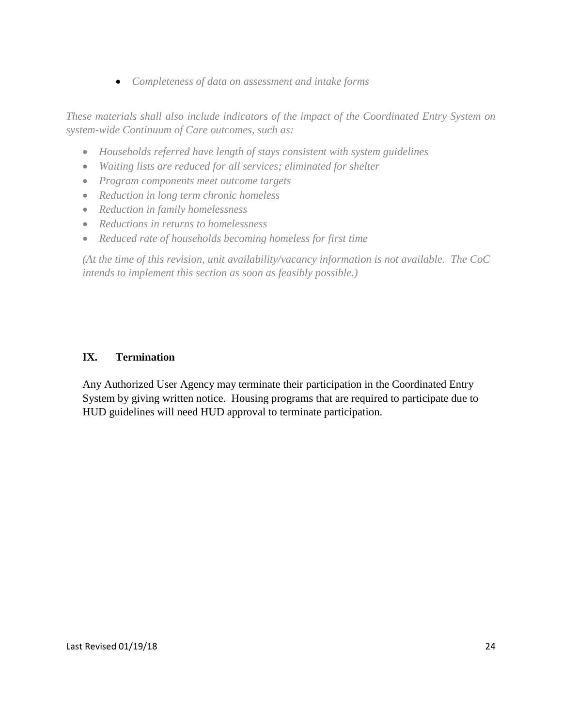• *Completeness of data on assessment and intake forms*

*These materials shall also include indicators of the impact of the Coordinated Entry System on system-wide Continuum of Care outcomes, such as:*

- *Households referred have length of stays consistent with system guidelines*
- *Waiting lists are reduced for all services; eliminated for shelter*
- *Program components meet outcome targets*
- *Reduction in long term chronic homeless*
- *Reduction in family homelessness*
- *Reductions in returns to homelessness*
- *Reduced rate of households becoming homeless for first time*

*(At the time of this revision, unit availability/vacancy information is not available. The CoC intends to implement this section as soon as feasibly possible.)*

## **IX. Termination**

Any Authorized User Agency may terminate their participation in the Coordinated Entry System by giving written notice. Housing programs that are required to participate due to HUD guidelines will need HUD approval to terminate participation.